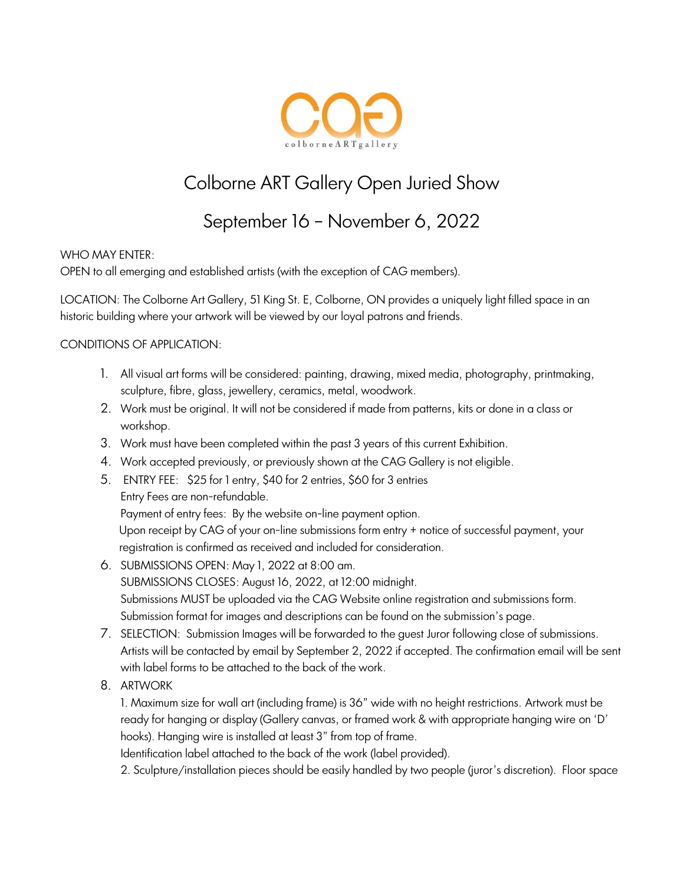

# Colborne ART Gallery Open Juried Show

## September 16 – November 6, 2022

#### WHO MAY ENTER:

OPEN to all emerging and established artists (with the exception of CAG members).

LOCATION: The Colborne Art Gallery, 51 King St. E, Colborne, ON provides a uniquely light filled space in an historic building where your artwork will be viewed by our loyal patrons and friends.

#### CONDITIONS OF APPLICATION:

- 1. All visual art forms will be considered: painting, drawing, mixed media, photography, printmaking, sculpture, fibre, glass, jewellery, ceramics, metal, woodwork.
- 2. Work must be original. It will not be considered if made from patterns, kits or done in a class or workshop.
- 3. Work must have been completed within the past 3 years of this current Exhibition.
- 4. Work accepted previously, or previously shown at the CAG Gallery is not eligible.
- 5. ENTRY FEE: \$25 for 1 entry, \$40 for 2 entries, \$60 for 3 entries Entry Fees are non-refundable. Payment of entry fees: By the website on-line payment option.

Upon receipt by CAG of your on-line submissions form entry + notice of successful payment, your registration is confirmed as received and included for consideration.

- 6. SUBMISSIONS OPEN: May 1, 2022 at 8:00 am. SUBMISSIONS CLOSES: August 16, 2022, at 12:00 midnight. Submissions MUST be uploaded via the CAG Website online registration and submissions form. Submission format for images and descriptions can be found on the submission's page.
- 7. SELECTION: Submission Images will be forwarded to the guest Juror following close of submissions. Artists will be contacted by email by September 2, 2022 if accepted. The confirmation email will be sent with label forms to be attached to the back of the work.
- 8. ARTWORK

1. Maximum size for wall art (including frame) is 36" wide with no height restrictions. Artwork must be ready for hanging or display (Gallery canvas, or framed work & with appropriate hanging wire on 'D' hooks). Hanging wire is installed at least 3" from top of frame.

Identification label attached to the back of the work (label provided).

2. Sculpture/installation pieces should be easily handled by two people (juror's discretion). Floor space